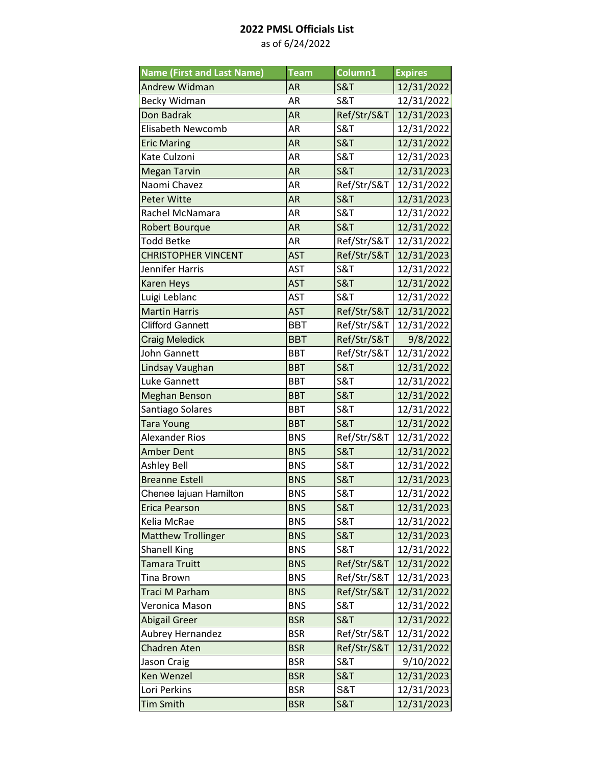| <b>Name (First and Last Name)</b> | <b>Team</b> | Column1        | <b>Expires</b> |
|-----------------------------------|-------------|----------------|----------------|
| <b>Andrew Widman</b>              | <b>AR</b>   | <b>S&amp;T</b> | 12/31/2022     |
| Becky Widman                      | <b>AR</b>   | <b>S&amp;T</b> | 12/31/2022     |
| Don Badrak                        | <b>AR</b>   | Ref/Str/S&T    | 12/31/2023     |
| <b>Elisabeth Newcomb</b>          | AR          | <b>S&amp;T</b> | 12/31/2022     |
| <b>Eric Maring</b>                | <b>AR</b>   | <b>S&amp;T</b> | 12/31/2022     |
| Kate Culzoni                      | AR          | <b>S&amp;T</b> | 12/31/2023     |
| <b>Megan Tarvin</b>               | <b>AR</b>   | <b>S&amp;T</b> | 12/31/2023     |
| Naomi Chavez                      | AR          | Ref/Str/S&T    | 12/31/2022     |
| <b>Peter Witte</b>                | <b>AR</b>   | <b>S&amp;T</b> | 12/31/2023     |
| Rachel McNamara                   | AR          | <b>S&amp;T</b> | 12/31/2022     |
| <b>Robert Bourque</b>             | <b>AR</b>   | <b>S&amp;T</b> | 12/31/2022     |
| <b>Todd Betke</b>                 | AR          | Ref/Str/S&T    | 12/31/2022     |
| <b>CHRISTOPHER VINCENT</b>        | <b>AST</b>  | Ref/Str/S&T    | 12/31/2023     |
| Jennifer Harris                   | AST         | <b>S&amp;T</b> | 12/31/2022     |
| <b>Karen Heys</b>                 | <b>AST</b>  | <b>S&amp;T</b> | 12/31/2022     |
| Luigi Leblanc                     | <b>AST</b>  | <b>S&amp;T</b> | 12/31/2022     |
| <b>Martin Harris</b>              | <b>AST</b>  | Ref/Str/S&T    | 12/31/2022     |
| <b>Clifford Gannett</b>           | <b>BBT</b>  | Ref/Str/S&T    | 12/31/2022     |
| <b>Craig Meledick</b>             | <b>BBT</b>  | Ref/Str/S&T    | 9/8/2022       |
| John Gannett                      | <b>BBT</b>  | Ref/Str/S&T    | 12/31/2022     |
| Lindsay Vaughan                   | <b>BBT</b>  | <b>S&amp;T</b> | 12/31/2022     |
| Luke Gannett                      | <b>BBT</b>  | <b>S&amp;T</b> | 12/31/2022     |
| <b>Meghan Benson</b>              | <b>BBT</b>  | <b>S&amp;T</b> | 12/31/2022     |
| Santiago Solares                  | <b>BBT</b>  | <b>S&amp;T</b> | 12/31/2022     |
| <b>Tara Young</b>                 | <b>BBT</b>  | <b>S&amp;T</b> | 12/31/2022     |
| <b>Alexander Rios</b>             | <b>BNS</b>  | Ref/Str/S&T    | 12/31/2022     |
| <b>Amber Dent</b>                 | <b>BNS</b>  | <b>S&amp;T</b> | 12/31/2022     |
| <b>Ashley Bell</b>                | <b>BNS</b>  | <b>S&amp;T</b> | 12/31/2022     |
| <b>Breanne Estell</b>             | <b>BNS</b>  | <b>S&amp;T</b> | 12/31/2023     |
| Chenee lajuan Hamilton            | <b>BNS</b>  | <b>S&amp;T</b> | 12/31/2022     |
| <b>Erica Pearson</b>              | <b>BNS</b>  | <b>S&amp;T</b> | 12/31/2023     |
| Kelia McRae                       | <b>BNS</b>  | <b>S&amp;T</b> | 12/31/2022     |
| <b>Matthew Trollinger</b>         | <b>BNS</b>  | <b>S&amp;T</b> | 12/31/2023     |
| <b>Shanell King</b>               | <b>BNS</b>  | <b>S&amp;T</b> | 12/31/2022     |
| <b>Tamara Truitt</b>              | <b>BNS</b>  | Ref/Str/S&T    | 12/31/2022     |
| <b>Tina Brown</b>                 | <b>BNS</b>  | Ref/Str/S&T    | 12/31/2023     |
| Traci M Parham                    | <b>BNS</b>  | Ref/Str/S&T    | 12/31/2022     |
| Veronica Mason                    | <b>BNS</b>  | <b>S&amp;T</b> | 12/31/2022     |
| <b>Abigail Greer</b>              | <b>BSR</b>  | <b>S&amp;T</b> | 12/31/2022     |
| Aubrey Hernandez                  | <b>BSR</b>  | Ref/Str/S&T    | 12/31/2022     |
| <b>Chadren Aten</b>               | <b>BSR</b>  | Ref/Str/S&T    | 12/31/2022     |
| Jason Craig                       | <b>BSR</b>  | S&T            | 9/10/2022      |
| <b>Ken Wenzel</b>                 | <b>BSR</b>  | <b>S&amp;T</b> | 12/31/2023     |
| Lori Perkins                      | <b>BSR</b>  | S&T            | 12/31/2023     |
| <b>Tim Smith</b>                  | <b>BSR</b>  | <b>S&amp;T</b> | 12/31/2023     |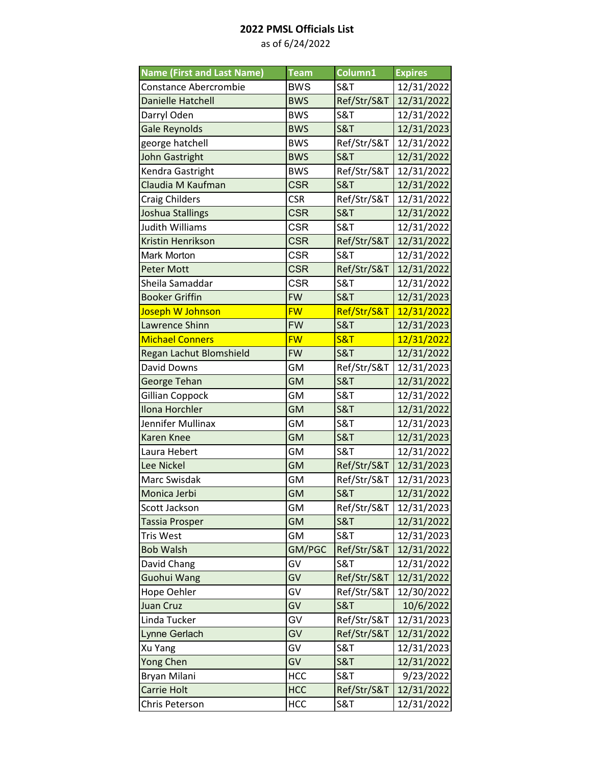| <b>Name (First and Last Name)</b> | <b>Team</b> | Column1        | <b>Expires</b> |
|-----------------------------------|-------------|----------------|----------------|
| <b>Constance Abercrombie</b>      | <b>BWS</b>  | <b>S&amp;T</b> | 12/31/2022     |
| <b>Danielle Hatchell</b>          | <b>BWS</b>  | Ref/Str/S&T    | 12/31/2022     |
| Darryl Oden                       | <b>BWS</b>  | <b>S&amp;T</b> | 12/31/2022     |
| <b>Gale Reynolds</b>              | <b>BWS</b>  | <b>S&amp;T</b> | 12/31/2023     |
| george hatchell                   | <b>BWS</b>  | Ref/Str/S&T    | 12/31/2022     |
| <b>John Gastright</b>             | <b>BWS</b>  | <b>S&amp;T</b> | 12/31/2022     |
| Kendra Gastright                  | <b>BWS</b>  | Ref/Str/S&T    | 12/31/2022     |
| Claudia M Kaufman                 | <b>CSR</b>  | <b>S&amp;T</b> | 12/31/2022     |
| <b>Craig Childers</b>             | <b>CSR</b>  | Ref/Str/S&T    | 12/31/2022     |
| <b>Joshua Stallings</b>           | <b>CSR</b>  | <b>S&amp;T</b> | 12/31/2022     |
| Judith Williams                   | <b>CSR</b>  | <b>S&amp;T</b> | 12/31/2022     |
| Kristin Henrikson                 | <b>CSR</b>  | Ref/Str/S&T    | 12/31/2022     |
| <b>Mark Morton</b>                | <b>CSR</b>  | <b>S&amp;T</b> | 12/31/2022     |
| <b>Peter Mott</b>                 | <b>CSR</b>  | Ref/Str/S&T    | 12/31/2022     |
| Sheila Samaddar                   | <b>CSR</b>  | <b>S&amp;T</b> | 12/31/2022     |
| <b>Booker Griffin</b>             | <b>FW</b>   | <b>S&amp;T</b> | 12/31/2023     |
| Joseph W Johnson                  | <b>FW</b>   | Ref/Str/S&T    | 12/31/2022     |
| <b>Lawrence Shinn</b>             | <b>FW</b>   | <b>S&amp;T</b> | 12/31/2023     |
| <b>Michael Conners</b>            | <b>FW</b>   | <b>S&amp;T</b> | 12/31/2022     |
| Regan Lachut Blomshield           | <b>FW</b>   | <b>S&amp;T</b> | 12/31/2022     |
| <b>David Downs</b>                | <b>GM</b>   | Ref/Str/S&T    | 12/31/2023     |
| George Tehan                      | <b>GM</b>   | <b>S&amp;T</b> | 12/31/2022     |
| Gillian Coppock                   | GM          | <b>S&amp;T</b> | 12/31/2022     |
| Ilona Horchler                    | <b>GM</b>   | <b>S&amp;T</b> | 12/31/2022     |
| Jennifer Mullinax                 | <b>GM</b>   | <b>S&amp;T</b> | 12/31/2023     |
| <b>Karen Knee</b>                 | <b>GM</b>   | <b>S&amp;T</b> | 12/31/2023     |
| Laura Hebert                      | <b>GM</b>   | <b>S&amp;T</b> | 12/31/2022     |
| Lee Nickel                        | <b>GM</b>   | Ref/Str/S&T    | 12/31/2023     |
| Marc Swisdak                      | <b>GM</b>   | Ref/Str/S&T    | 12/31/2023     |
| Monica Jerbi                      | <b>GM</b>   | <b>S&amp;T</b> | 12/31/2022     |
| Scott Jackson                     | GM          | Ref/Str/S&T    | 12/31/2023     |
| Tassia Prosper                    | <b>GM</b>   | <b>S&amp;T</b> | 12/31/2022     |
| Tris West                         | GM          | S&T            | 12/31/2023     |
| <b>Bob Walsh</b>                  | GM/PGC      | Ref/Str/S&T    | 12/31/2022     |
| David Chang                       | GV          | <b>S&amp;T</b> | 12/31/2022     |
| Guohui Wang                       | GV          | Ref/Str/S&T    | 12/31/2022     |
| Hope Oehler                       | GV          | Ref/Str/S&T    | 12/30/2022     |
| <b>Juan Cruz</b>                  | GV          | <b>S&amp;T</b> | 10/6/2022      |
| Linda Tucker                      | GV          | Ref/Str/S&T    | 12/31/2023     |
| Lynne Gerlach                     | GV          | Ref/Str/S&T    | 12/31/2022     |
| Xu Yang                           | GV          | <b>S&amp;T</b> | 12/31/2023     |
| <b>Yong Chen</b>                  | GV          | <b>S&amp;T</b> | 12/31/2022     |
| Bryan Milani                      | <b>HCC</b>  | <b>S&amp;T</b> | 9/23/2022      |
| Carrie Holt                       | <b>HCC</b>  | Ref/Str/S&T    | 12/31/2022     |
| Chris Peterson                    | <b>HCC</b>  | S&T            | 12/31/2022     |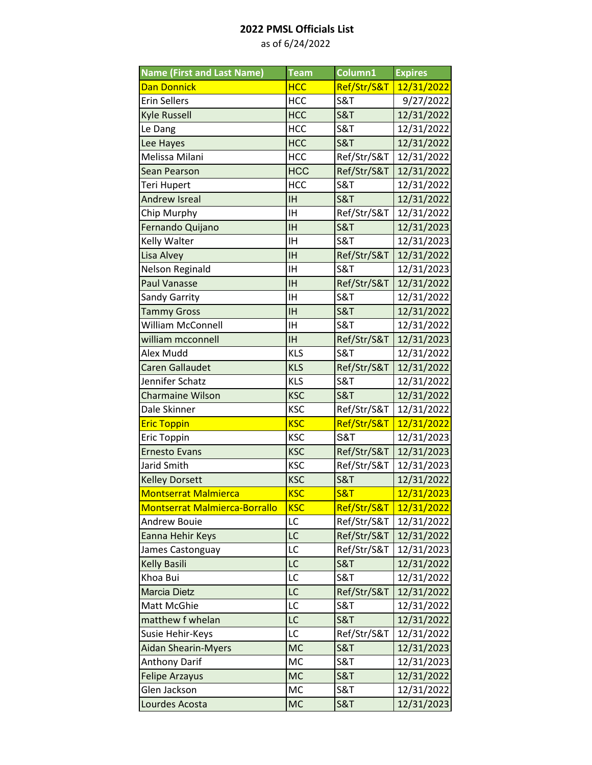| <b>Name (First and Last Name)</b>    | <b>Team</b> | Column1        | <b>Expires</b> |
|--------------------------------------|-------------|----------------|----------------|
| Dan Donnick                          | <b>HCC</b>  | Ref/Str/S&T    | 12/31/2022     |
| <b>Erin Sellers</b>                  | <b>HCC</b>  | <b>S&amp;T</b> | 9/27/2022      |
| <b>Kyle Russell</b>                  | <b>HCC</b>  | <b>S&amp;T</b> | 12/31/2022     |
| Le Dang                              | <b>HCC</b>  | <b>S&amp;T</b> | 12/31/2022     |
| Lee Hayes                            | <b>HCC</b>  | <b>S&amp;T</b> | 12/31/2022     |
| Melissa Milani                       | <b>HCC</b>  | Ref/Str/S&T    | 12/31/2022     |
| <b>Sean Pearson</b>                  | <b>HCC</b>  | Ref/Str/S&T    | 12/31/2022     |
| Teri Hupert                          | <b>HCC</b>  | <b>S&amp;T</b> | 12/31/2022     |
| Andrew Isreal                        | <b>IH</b>   | <b>S&amp;T</b> | 12/31/2022     |
| Chip Murphy                          | IH          | Ref/Str/S&T    | 12/31/2022     |
| Fernando Quijano                     | <b>IH</b>   | <b>S&amp;T</b> | 12/31/2023     |
| Kelly Walter                         | IH          | <b>S&amp;T</b> | 12/31/2023     |
| Lisa Alvey                           | <b>IH</b>   | Ref/Str/S&T    | 12/31/2022     |
| <b>Nelson Reginald</b>               | <b>IH</b>   | <b>S&amp;T</b> | 12/31/2023     |
| <b>Paul Vanasse</b>                  | <b>IH</b>   | Ref/Str/S&T    | 12/31/2022     |
| Sandy Garrity                        | IH          | <b>S&amp;T</b> | 12/31/2022     |
| <b>Tammy Gross</b>                   | <b>IH</b>   | <b>S&amp;T</b> | 12/31/2022     |
| William McConnell                    | IH          | <b>S&amp;T</b> | 12/31/2022     |
| william mcconnell                    | <b>IH</b>   | Ref/Str/S&T    | 12/31/2023     |
| Alex Mudd                            | <b>KLS</b>  | <b>S&amp;T</b> | 12/31/2022     |
| <b>Caren Gallaudet</b>               | <b>KLS</b>  | Ref/Str/S&T    | 12/31/2022     |
| Jennifer Schatz                      | <b>KLS</b>  | <b>S&amp;T</b> | 12/31/2022     |
| <b>Charmaine Wilson</b>              | <b>KSC</b>  | <b>S&amp;T</b> | 12/31/2022     |
| Dale Skinner                         | <b>KSC</b>  | Ref/Str/S&T    | 12/31/2022     |
| <b>Eric Toppin</b>                   | <b>KSC</b>  | Ref/Str/S&T    | 12/31/2022     |
| Eric Toppin                          | <b>KSC</b>  | S&T            | 12/31/2023     |
| <b>Ernesto Evans</b>                 | <b>KSC</b>  | Ref/Str/S&T    | 12/31/2023     |
| Jarid Smith                          | <b>KSC</b>  | Ref/Str/S&T    | 12/31/2023     |
| <b>Kelley Dorsett</b>                | <b>KSC</b>  | <b>S&amp;T</b> | 12/31/2022     |
| <b>Montserrat Malmierca</b>          | <b>KSC</b>  | <b>S&amp;T</b> | 12/31/2023     |
| <b>Montserrat Malmierca-Borrallo</b> | <b>KSC</b>  | Ref/Str/S&T    | 12/31/2022     |
| <b>Andrew Bouie</b>                  | LC          | Ref/Str/S&T    | 12/31/2022     |
| Eanna Hehir Keys                     | LC          | Ref/Str/S&T    | 12/31/2022     |
| James Castonguay                     | LC          | Ref/Str/S&T    | 12/31/2023     |
| <b>Kelly Basili</b>                  | LC          | <b>S&amp;T</b> | 12/31/2022     |
| Khoa Bui                             | LC          | <b>S&amp;T</b> | 12/31/2022     |
| <b>Marcia Dietz</b>                  | LC          | Ref/Str/S&T    | 12/31/2022     |
| Matt McGhie                          | LC          | <b>S&amp;T</b> | 12/31/2022     |
| matthew f whelan                     | LC          | <b>S&amp;T</b> | 12/31/2022     |
| Susie Hehir-Keys                     | LC          | Ref/Str/S&T    | 12/31/2022     |
| <b>Aidan Shearin-Myers</b>           | <b>MC</b>   | <b>S&amp;T</b> | 12/31/2023     |
| <b>Anthony Darif</b>                 | MC          | <b>S&amp;T</b> | 12/31/2023     |
| <b>Felipe Arzayus</b>                | <b>MC</b>   | <b>S&amp;T</b> | 12/31/2022     |
| Glen Jackson                         | MC          | S&T            | 12/31/2022     |
| Lourdes Acosta                       | <b>MC</b>   | <b>S&amp;T</b> | 12/31/2023     |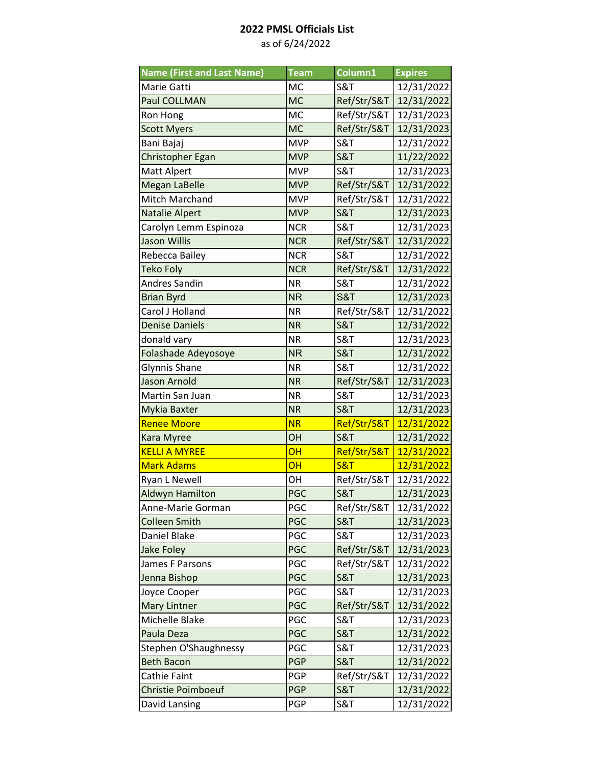| <b>Name (First and Last Name)</b> | <b>Team</b> | Column1        | <b>Expires</b> |
|-----------------------------------|-------------|----------------|----------------|
| Marie Gatti                       | <b>MC</b>   | <b>S&amp;T</b> | 12/31/2022     |
| <b>Paul COLLMAN</b>               | <b>MC</b>   | Ref/Str/S&T    | 12/31/2022     |
| Ron Hong                          | <b>MC</b>   | Ref/Str/S&T    | 12/31/2023     |
| <b>Scott Myers</b>                | <b>MC</b>   | Ref/Str/S&T    | 12/31/2023     |
| Bani Bajaj                        | <b>MVP</b>  | <b>S&amp;T</b> | 12/31/2022     |
| Christopher Egan                  | <b>MVP</b>  | <b>S&amp;T</b> | 11/22/2022     |
| Matt Alpert                       | <b>MVP</b>  | <b>S&amp;T</b> | 12/31/2023     |
| <b>Megan LaBelle</b>              | <b>MVP</b>  | Ref/Str/S&T    | 12/31/2022     |
| Mitch Marchand                    | <b>MVP</b>  | Ref/Str/S&T    | 12/31/2022     |
| <b>Natalie Alpert</b>             | <b>MVP</b>  | <b>S&amp;T</b> | 12/31/2023     |
| Carolyn Lemm Espinoza             | <b>NCR</b>  | <b>S&amp;T</b> | 12/31/2023     |
| <b>Jason Willis</b>               | <b>NCR</b>  | Ref/Str/S&T    | 12/31/2022     |
| Rebecca Bailey                    | <b>NCR</b>  | <b>S&amp;T</b> | 12/31/2022     |
| Teko Foly                         | <b>NCR</b>  | Ref/Str/S&T    | 12/31/2022     |
| <b>Andres Sandin</b>              | <b>NR</b>   | <b>S&amp;T</b> | 12/31/2022     |
| <b>Brian Byrd</b>                 | <b>NR</b>   | S&T            | 12/31/2023     |
| Carol J Holland                   | <b>NR</b>   | Ref/Str/S&T    | 12/31/2022     |
| <b>Denise Daniels</b>             | <b>NR</b>   | <b>S&amp;T</b> | 12/31/2022     |
| donald vary                       | <b>NR</b>   | <b>S&amp;T</b> | 12/31/2023     |
| Folashade Adeyosoye               | <b>NR</b>   | <b>S&amp;T</b> | 12/31/2022     |
| Glynnis Shane                     | <b>NR</b>   | <b>S&amp;T</b> | 12/31/2022     |
| <b>Jason Arnold</b>               | <b>NR</b>   | Ref/Str/S&T    | 12/31/2023     |
| Martin San Juan                   | <b>NR</b>   | <b>S&amp;T</b> | 12/31/2023     |
| Mykia Baxter                      | <b>NR</b>   | <b>S&amp;T</b> | 12/31/2023     |
| <b>Renee Moore</b>                | <b>NR</b>   | Ref/Str/S&T    | 12/31/2022     |
| <b>Kara Myree</b>                 | OH          | <b>S&amp;T</b> | 12/31/2022     |
| <b>KELLI A MYREE</b>              | OH          | Ref/Str/S&T    | 12/31/2022     |
| <b>Mark Adams</b>                 | OH          | <b>S&amp;T</b> | 12/31/2022     |
| <b>Ryan L Newell</b>              | OH          | Ref/Str/S&T    | 12/31/2022     |
| <b>Aldwyn Hamilton</b>            | <b>PGC</b>  | <b>S&amp;T</b> | 12/31/2023     |
| Anne-Marie Gorman                 | PGC         | Ref/Str/S&T    | 12/31/2022     |
| <b>Colleen Smith</b>              | PGC         | <b>S&amp;T</b> | 12/31/2023     |
| Daniel Blake                      | PGC         | <b>S&amp;T</b> | 12/31/2023     |
| <b>Jake Foley</b>                 | PGC         | Ref/Str/S&T    | 12/31/2023     |
| James F Parsons                   | PGC         | Ref/Str/S&T    | 12/31/2022     |
| Jenna Bishop                      | PGC         | <b>S&amp;T</b> | 12/31/2023     |
| Joyce Cooper                      | PGC         | <b>S&amp;T</b> | 12/31/2023     |
| <b>Mary Lintner</b>               | PGC         | Ref/Str/S&T    | 12/31/2022     |
| Michelle Blake                    | PGC         | <b>S&amp;T</b> | 12/31/2023     |
| Paula Deza                        | <b>PGC</b>  | <b>S&amp;T</b> | 12/31/2022     |
| Stephen O'Shaughnessy             | PGC         | <b>S&amp;T</b> | 12/31/2023     |
| <b>Beth Bacon</b>                 | <b>PGP</b>  | <b>S&amp;T</b> | 12/31/2022     |
| Cathie Faint                      | PGP         | Ref/Str/S&T    | 12/31/2022     |
| <b>Christie Poimboeuf</b>         | <b>PGP</b>  | <b>S&amp;T</b> | 12/31/2022     |
| David Lansing                     | PGP         | S&T            | 12/31/2022     |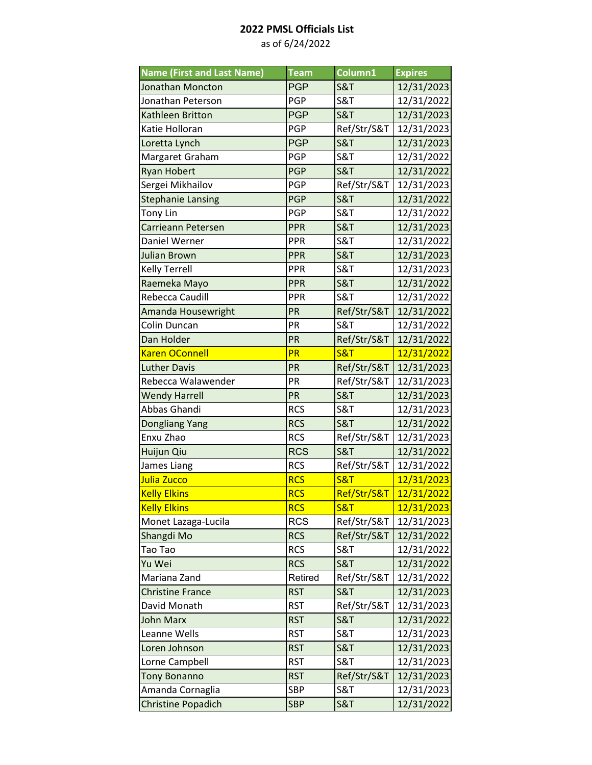| <b>Name (First and Last Name)</b> | <b>Team</b> | Column1        | <b>Expires</b> |
|-----------------------------------|-------------|----------------|----------------|
| <b>Jonathan Moncton</b>           | <b>PGP</b>  | <b>S&amp;T</b> | 12/31/2023     |
| Jonathan Peterson                 | PGP         | <b>S&amp;T</b> | 12/31/2022     |
| Kathleen Britton                  | <b>PGP</b>  | <b>S&amp;T</b> | 12/31/2023     |
| Katie Holloran                    | PGP         | Ref/Str/S&T    | 12/31/2023     |
| Loretta Lynch                     | <b>PGP</b>  | <b>S&amp;T</b> | 12/31/2023     |
| Margaret Graham                   | PGP         | <b>S&amp;T</b> | 12/31/2022     |
| <b>Ryan Hobert</b>                | <b>PGP</b>  | <b>S&amp;T</b> | 12/31/2022     |
| Sergei Mikhailov                  | PGP         | Ref/Str/S&T    | 12/31/2023     |
| <b>Stephanie Lansing</b>          | <b>PGP</b>  | <b>S&amp;T</b> | 12/31/2022     |
| Tony Lin                          | PGP         | <b>S&amp;T</b> | 12/31/2022     |
| Carrieann Petersen                | PPR         | <b>S&amp;T</b> | 12/31/2023     |
| Daniel Werner                     | <b>PPR</b>  | <b>S&amp;T</b> | 12/31/2022     |
| <b>Julian Brown</b>               | PPR         | <b>S&amp;T</b> | 12/31/2023     |
| Kelly Terrell                     | <b>PPR</b>  | <b>S&amp;T</b> | 12/31/2023     |
| Raemeka Mayo                      | PPR         | <b>S&amp;T</b> | 12/31/2022     |
| Rebecca Caudill                   | PPR         | <b>S&amp;T</b> | 12/31/2022     |
| Amanda Housewright                | PR          | Ref/Str/S&T    | 12/31/2022     |
| Colin Duncan                      | PR          | S&T            | 12/31/2022     |
| Dan Holder                        | PR          | Ref/Str/S&T    | 12/31/2022     |
| <b>Karen OConnell</b>             | PR          | <b>S&amp;T</b> | 12/31/2022     |
| <b>Luther Davis</b>               | PR          | Ref/Str/S&T    | 12/31/2023     |
| Rebecca Walawender                | PR          | Ref/Str/S&T    | 12/31/2023     |
| <b>Wendy Harrell</b>              | PR          | <b>S&amp;T</b> | 12/31/2023     |
| Abbas Ghandi                      | <b>RCS</b>  | <b>S&amp;T</b> | 12/31/2023     |
| Dongliang Yang                    | <b>RCS</b>  | <b>S&amp;T</b> | 12/31/2022     |
| Enxu Zhao                         | <b>RCS</b>  | Ref/Str/S&T    | 12/31/2023     |
| Huijun Qiu                        | <b>RCS</b>  | <b>S&amp;T</b> | 12/31/2022     |
| James Liang                       | <b>RCS</b>  | Ref/Str/S&T    | 12/31/2022     |
| Julia Zucco                       | <b>RCS</b>  | <b>S&amp;T</b> | 12/31/2023     |
| <b>Kelly Elkins</b>               | <b>RCS</b>  | Ref/Str/S&T    | 12/31/2022     |
| <b>Kelly Elkins</b>               | <b>RCS</b>  | <b>S&amp;T</b> | 12/31/2023     |
| Monet Lazaga-Lucila               | <b>RCS</b>  | Ref/Str/S&T    | 12/31/2023     |
| Shangdi Mo                        | <b>RCS</b>  | Ref/Str/S&T    | 12/31/2022     |
| Tao Tao                           | <b>RCS</b>  | <b>S&amp;T</b> | 12/31/2022     |
| Yu Wei                            | <b>RCS</b>  | <b>S&amp;T</b> | 12/31/2022     |
| Mariana Zand                      | Retired     | Ref/Str/S&T    | 12/31/2022     |
| <b>Christine France</b>           | <b>RST</b>  | <b>S&amp;T</b> | 12/31/2023     |
| David Monath                      | <b>RST</b>  | Ref/Str/S&T    | 12/31/2023     |
| <b>John Marx</b>                  | <b>RST</b>  | <b>S&amp;T</b> | 12/31/2022     |
| Leanne Wells                      | <b>RST</b>  | S&T            | 12/31/2023     |
| Loren Johnson                     | <b>RST</b>  | <b>S&amp;T</b> | 12/31/2023     |
| Lorne Campbell                    | <b>RST</b>  | S&T            | 12/31/2023     |
| <b>Tony Bonanno</b>               | <b>RST</b>  | Ref/Str/S&T    | 12/31/2023     |
| Amanda Cornaglia                  | SBP         | <b>S&amp;T</b> | 12/31/2023     |
| <b>Christine Popadich</b>         | <b>SBP</b>  | <b>S&amp;T</b> | 12/31/2022     |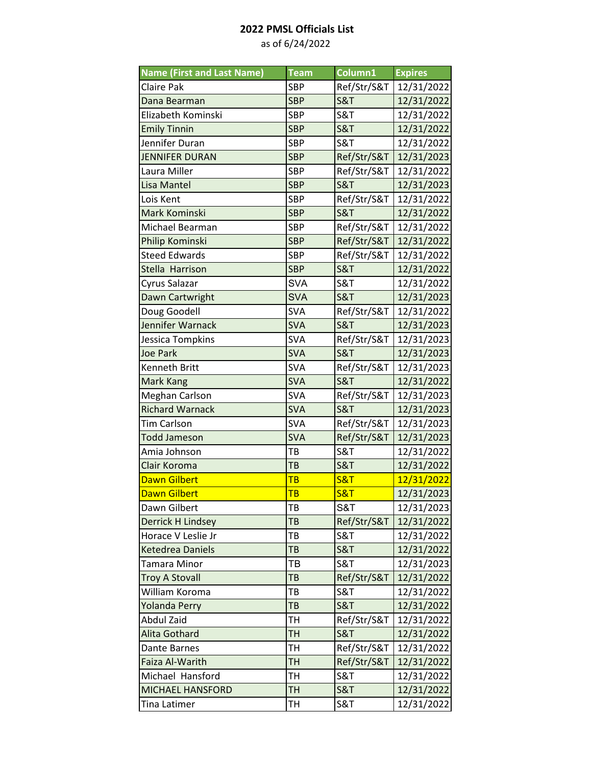| <b>Name (First and Last Name)</b> | <b>Team</b> | Column1        | <b>Expires</b> |
|-----------------------------------|-------------|----------------|----------------|
| <b>Claire Pak</b>                 | <b>SBP</b>  | Ref/Str/S&T    | 12/31/2022     |
| Dana Bearman                      | <b>SBP</b>  | <b>S&amp;T</b> | 12/31/2022     |
| Elizabeth Kominski                | <b>SBP</b>  | <b>S&amp;T</b> | 12/31/2022     |
| <b>Emily Tinnin</b>               | <b>SBP</b>  | <b>S&amp;T</b> | 12/31/2022     |
| Jennifer Duran                    | <b>SBP</b>  | <b>S&amp;T</b> | 12/31/2022     |
| <b>JENNIFER DURAN</b>             | <b>SBP</b>  | Ref/Str/S&T    | 12/31/2023     |
| Laura Miller                      | <b>SBP</b>  | Ref/Str/S&T    | 12/31/2022     |
| <b>Lisa Mantel</b>                | <b>SBP</b>  | <b>S&amp;T</b> | 12/31/2023     |
| Lois Kent                         | <b>SBP</b>  | Ref/Str/S&T    | 12/31/2022     |
| Mark Kominski                     | <b>SBP</b>  | <b>S&amp;T</b> | 12/31/2022     |
| Michael Bearman                   | <b>SBP</b>  | Ref/Str/S&T    | 12/31/2022     |
| Philip Kominski                   | <b>SBP</b>  | Ref/Str/S&T    | 12/31/2022     |
| <b>Steed Edwards</b>              | <b>SBP</b>  | Ref/Str/S&T    | 12/31/2022     |
| Stella Harrison                   | <b>SBP</b>  | <b>S&amp;T</b> | 12/31/2022     |
| Cyrus Salazar                     | <b>SVA</b>  | <b>S&amp;T</b> | 12/31/2022     |
| Dawn Cartwright                   | <b>SVA</b>  | <b>S&amp;T</b> | 12/31/2023     |
| Doug Goodell                      | <b>SVA</b>  | Ref/Str/S&T    | 12/31/2022     |
| Jennifer Warnack                  | <b>SVA</b>  | <b>S&amp;T</b> | 12/31/2023     |
| Jessica Tompkins                  | <b>SVA</b>  | Ref/Str/S&T    | 12/31/2023     |
| <b>Joe Park</b>                   | <b>SVA</b>  | <b>S&amp;T</b> | 12/31/2023     |
| Kenneth Britt                     | <b>SVA</b>  | Ref/Str/S&T    | 12/31/2023     |
| Mark Kang                         | <b>SVA</b>  | <b>S&amp;T</b> | 12/31/2022     |
| Meghan Carlson                    | <b>SVA</b>  | Ref/Str/S&T    | 12/31/2023     |
| <b>Richard Warnack</b>            | <b>SVA</b>  | <b>S&amp;T</b> | 12/31/2023     |
| <b>Tim Carlson</b>                | <b>SVA</b>  | Ref/Str/S&T    | 12/31/2023     |
| <b>Todd Jameson</b>               | <b>SVA</b>  | Ref/Str/S&T    | 12/31/2023     |
| Amia Johnson                      | TB          | <b>S&amp;T</b> | 12/31/2022     |
| Clair Koroma                      | TB          | <b>S&amp;T</b> | 12/31/2022     |
| <b>Dawn Gilbert</b>               | <b>TB</b>   | <b>S&amp;T</b> | 12/31/2022     |
| <b>Dawn Gilbert</b>               | <b>TB</b>   | <b>S&amp;T</b> | 12/31/2023     |
| Dawn Gilbert                      | TВ          | S&T            | 12/31/2023     |
| <b>Derrick H Lindsey</b>          | TB          | Ref/Str/S&T    | 12/31/2022     |
| Horace V Leslie Jr                | ТB          | <b>S&amp;T</b> | 12/31/2022     |
| <b>Ketedrea Daniels</b>           | TB          | <b>S&amp;T</b> | 12/31/2022     |
| Tamara Minor                      | ТB          | S&T            | 12/31/2023     |
| <b>Troy A Stovall</b>             | TB          | Ref/Str/S&T    | 12/31/2022     |
| William Koroma                    | ТB          | <b>S&amp;T</b> | 12/31/2022     |
| <b>Yolanda Perry</b>              | TB          | <b>S&amp;T</b> | 12/31/2022     |
| Abdul Zaid                        | TН          | Ref/Str/S&T    | 12/31/2022     |
| Alita Gothard                     | TH          | <b>S&amp;T</b> | 12/31/2022     |
| Dante Barnes                      | TH          | Ref/Str/S&T    | 12/31/2022     |
| Faiza Al-Warith                   | TН          | Ref/Str/S&T    | 12/31/2022     |
| Michael Hansford                  | TН          | <b>S&amp;T</b> | 12/31/2022     |
| <b>MICHAEL HANSFORD</b>           | TН          | <b>S&amp;T</b> | 12/31/2022     |
| Tina Latimer                      | TН          | S&T            | 12/31/2022     |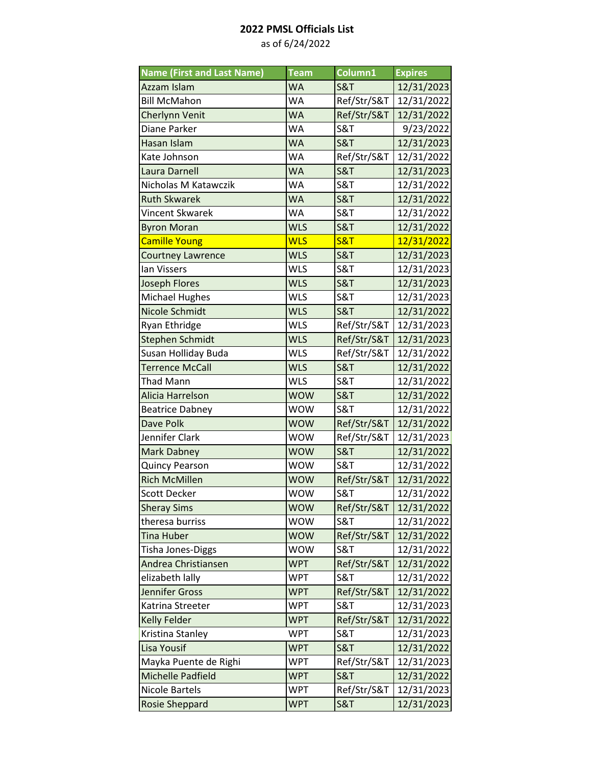| <b>Name (First and Last Name)</b> | <b>Team</b> | Column1        | <b>Expires</b> |
|-----------------------------------|-------------|----------------|----------------|
| Azzam Islam                       | <b>WA</b>   | <b>S&amp;T</b> | 12/31/2023     |
| <b>Bill McMahon</b>               | WA          | Ref/Str/S&T    | 12/31/2022     |
| Cherlynn Venit                    | <b>WA</b>   | Ref/Str/S&T    | 12/31/2022     |
| Diane Parker                      | WA          | <b>S&amp;T</b> | 9/23/2022      |
| Hasan Islam                       | <b>WA</b>   | <b>S&amp;T</b> | 12/31/2023     |
| Kate Johnson                      | <b>WA</b>   | Ref/Str/S&T    | 12/31/2022     |
| Laura Darnell                     | <b>WA</b>   | <b>S&amp;T</b> | 12/31/2023     |
| Nicholas M Katawczik              | <b>WA</b>   | <b>S&amp;T</b> | 12/31/2022     |
| <b>Ruth Skwarek</b>               | <b>WA</b>   | <b>S&amp;T</b> | 12/31/2022     |
| Vincent Skwarek                   | <b>WA</b>   | <b>S&amp;T</b> | 12/31/2022     |
| <b>Byron Moran</b>                | <b>WLS</b>  | <b>S&amp;T</b> | 12/31/2022     |
| <b>Camille Young</b>              | <b>WLS</b>  | <b>S&amp;T</b> | 12/31/2022     |
| <b>Courtney Lawrence</b>          | <b>WLS</b>  | <b>S&amp;T</b> | 12/31/2023     |
| lan Vissers                       | <b>WLS</b>  | <b>S&amp;T</b> | 12/31/2023     |
| <b>Joseph Flores</b>              | <b>WLS</b>  | <b>S&amp;T</b> | 12/31/2023     |
| <b>Michael Hughes</b>             | <b>WLS</b>  | <b>S&amp;T</b> | 12/31/2023     |
| Nicole Schmidt                    | <b>WLS</b>  | <b>S&amp;T</b> | 12/31/2022     |
| Ryan Ethridge                     | <b>WLS</b>  | Ref/Str/S&T    | 12/31/2023     |
| <b>Stephen Schmidt</b>            | <b>WLS</b>  | Ref/Str/S&T    | 12/31/2023     |
| Susan Holliday Buda               | <b>WLS</b>  | Ref/Str/S&T    | 12/31/2022     |
| <b>Terrence McCall</b>            | <b>WLS</b>  | <b>S&amp;T</b> | 12/31/2022     |
| Thad Mann                         | <b>WLS</b>  | <b>S&amp;T</b> | 12/31/2022     |
| Alicia Harrelson                  | <b>WOW</b>  | <b>S&amp;T</b> | 12/31/2022     |
| <b>Beatrice Dabney</b>            | <b>WOW</b>  | <b>S&amp;T</b> | 12/31/2022     |
| Dave Polk                         | <b>WOW</b>  | Ref/Str/S&T    | 12/31/2022     |
| Jennifer Clark                    | <b>WOW</b>  | Ref/Str/S&T    | 12/31/2023     |
| <b>Mark Dabney</b>                | <b>WOW</b>  | <b>S&amp;T</b> | 12/31/2022     |
| <b>Quincy Pearson</b>             | <b>WOW</b>  | <b>S&amp;T</b> | 12/31/2022     |
| <b>Rich McMillen</b>              | <b>WOW</b>  | Ref/Str/S&T    | 12/31/2022     |
| <b>Scott Decker</b>               | <b>WOW</b>  | <b>S&amp;T</b> | 12/31/2022     |
| <b>Sheray Sims</b>                | <b>WOW</b>  | Ref/Str/S&T    | 12/31/2022     |
| theresa burriss                   | <b>WOW</b>  | <b>S&amp;T</b> | 12/31/2022     |
| <b>Tina Huber</b>                 | <b>WOW</b>  | Ref/Str/S&T    | 12/31/2022     |
| Tisha Jones-Diggs                 | <b>WOW</b>  | <b>S&amp;T</b> | 12/31/2022     |
| Andrea Christiansen               | <b>WPT</b>  | Ref/Str/S&T    | 12/31/2022     |
| elizabeth lally                   | <b>WPT</b>  | <b>S&amp;T</b> | 12/31/2022     |
| Jennifer Gross                    | <b>WPT</b>  | Ref/Str/S&T    | 12/31/2022     |
| Katrina Streeter                  | <b>WPT</b>  | <b>S&amp;T</b> | 12/31/2023     |
| <b>Kelly Felder</b>               | <b>WPT</b>  | Ref/Str/S&T    | 12/31/2022     |
| Kristina Stanley                  | <b>WPT</b>  | S&T            | 12/31/2023     |
| Lisa Yousif                       | <b>WPT</b>  | <b>S&amp;T</b> | 12/31/2022     |
| Mayka Puente de Righi             | <b>WPT</b>  | Ref/Str/S&T    | 12/31/2023     |
| Michelle Padfield                 | <b>WPT</b>  | <b>S&amp;T</b> | 12/31/2022     |
| Nicole Bartels                    | <b>WPT</b>  | Ref/Str/S&T    | 12/31/2023     |
| <b>Rosie Sheppard</b>             | <b>WPT</b>  | <b>S&amp;T</b> | 12/31/2023     |